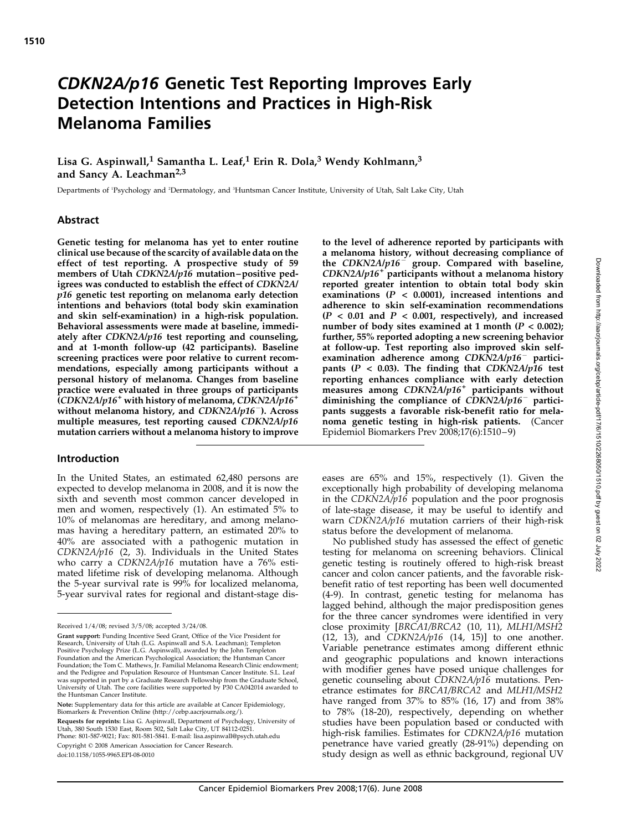# CDKN2A/p16 Genetic Test Reporting Improves Early Detection Intentions and Practices in High-Risk Melanoma Families

# Lisa G. Aspinwall,<sup>1</sup> Samantha L. Leaf,<sup>1</sup> Erin R. Dola,<sup>3</sup> Wendy Kohlmann,<sup>3</sup> and Sancy A. Leachman<sup>2,3</sup>

Departments of 'Psychology and 'Dermatology, and 'Huntsman Cancer Institute, University of Utah, Salt Lake City, Utah

#### Abstract

Genetic testing for melanoma has yet to enter routine clinical use because of the scarcity of available data on the effect of test reporting. A prospective study of 59 members of Utah CDKN2A/p16 mutation–positive pedigrees was conducted to establish the effect of CDKN2A/ p16 genetic test reporting on melanoma early detection intentions and behaviors (total body skin examination and skin self-examination) in a high-risk population. Behavioral assessments were made at baseline, immediately after  $CDKN2A/p16$  test reporting and counseling, and at 1-month follow-up (42 participants). Baseline screening practices were poor relative to current recommendations, especially among participants without a personal history of melanoma. Changes from baseline practice were evaluated in three groups of participants  $(CDKN2A/p16^+$  with history of melanoma,  $CDKN2A/p16^+$ without melanoma history, and  $CDKN2A/p16^-$ ). Across multiple measures, test reporting caused  $CDKN2A/p16$ mutation carriers without a melanoma history to improve

#### Introduction

In the United States, an estimated 62,480 persons are expected to develop melanoma in 2008, and it is now the sixth and seventh most common cancer developed in men and women, respectively (1). An estimated 5% to 10% of melanomas are hereditary, and among melanomas having a hereditary pattern, an estimated 20% to 40% are associated with a pathogenic mutation in  $CDKN2A/p16$  (2, 3). Individuals in the United States who carry a CDKN2A/p16 mutation have a 76% estimated lifetime risk of developing melanoma. Although the 5-year survival rate is 99% for localized melanoma, 5-year survival rates for regional and distant-stage dis-

Note: Supplementary data for this article are available at Cancer Epidemiology, Biomarkers & Prevention Online (http://cebp.aacrjournals.org/).

Requests for reprints: Lisa G. Aspinwall, Department of Psychology, University of Utah, 380 South 1530 East, Room 502, Salt Lake City, UT 84112-0251. Phone: 801-587-9021; Fax: 801-581-5841. E-mail: lisa.aspinwall@psych.utah.edu

Copyright © 2008 American Association for Cancer Research.

doi:10.1158/1055-9965.EPI-08-0010

to the level of adherence reported by participants with a melanoma history, without decreasing compliance of the CDKN2A/ $p16^-$  group. Compared with baseline,  $CDKN2A/p16<sup>+</sup>$  participants without a melanoma history reported greater intention to obtain total body skin examinations  $(P < 0.0001)$ , increased intentions and adherence to skin self-examination recommendations  $(P < 0.01$  and  $P < 0.001$ , respectively), and increased number of body sites examined at 1 month  $(P < 0.002)$ ; further, 55% reported adopting a new screening behavior at follow-up. Test reporting also improved skin selfexamination adherence among  $CDKN2A/p16^-$  participants ( $P$  < 0.03). The finding that CDKN2A/p16 test reporting enhances compliance with early detection measures among  $CDKN2A/p16<sup>+</sup>$  participants without diminishing the compliance of  $CDKN2A/p16^-$  participants suggests a favorable risk-benefit ratio for melanoma genetic testing in high-risk patients. (Cancer Epidemiol Biomarkers Prev 2008;17(6):1510 – 9)

eases are 65% and 15%, respectively (1). Given the exceptionally high probability of developing melanoma in the CDKN2A/p16 population and the poor prognosis of late-stage disease, it may be useful to identify and warn CDKN2A/p16 mutation carriers of their high-risk status before the development of melanoma.

No published study has assessed the effect of genetic testing for melanoma on screening behaviors. Clinical genetic testing is routinely offered to high-risk breast cancer and colon cancer patients, and the favorable riskbenefit ratio of test reporting has been well documented (4-9). In contrast, genetic testing for melanoma has lagged behind, although the major predisposition genes for the three cancer syndromes were identified in very close proximity [BRCA1/BRCA2 (10, 11), MLH1/MSH2  $(12, 13)$ , and  $CDKN2A/p16$   $(14, 15)$ ] to one another. Variable penetrance estimates among different ethnic and geographic populations and known interactions with modifier genes have posed unique challenges for genetic counseling about CDKN2A/p16 mutations. Penetrance estimates for BRCA1/BRCA2 and MLH1/MSH2 have ranged from 37% to 85% (16, 17) and from 38% to 78% (18-20), respectively, depending on whether studies have been population based or conducted with high-risk families. Estimates for CDKN2A/p16 mutation penetrance have varied greatly (28-91%) depending on study design as well as ethnic background, regional UV

Received 1/4/08; revised 3/5/08; accepted 3/24/08.

Grant support: Funding Incentive Seed Grant, Office of the Vice President for Research, University of Utah (L.G. Aspinwall and S.A. Leachman); Templeton Positive Psychology Prize (L.G. Aspinwall), awarded by the John Templeton Foundation and the American Psychological Association; the Huntsman Cancer Foundation; the Tom C. Mathews, Jr. Familial Melanoma Research Clinic endowment; and the Pedigree and Population Resource of Huntsman Cancer Institute. S.L. Leaf was supported in part by a Graduate Research Fellowship from the Graduate School, University of Utah. The core facilities were supported by P30 CA042014 awarded to the Huntsman Cancer Institute.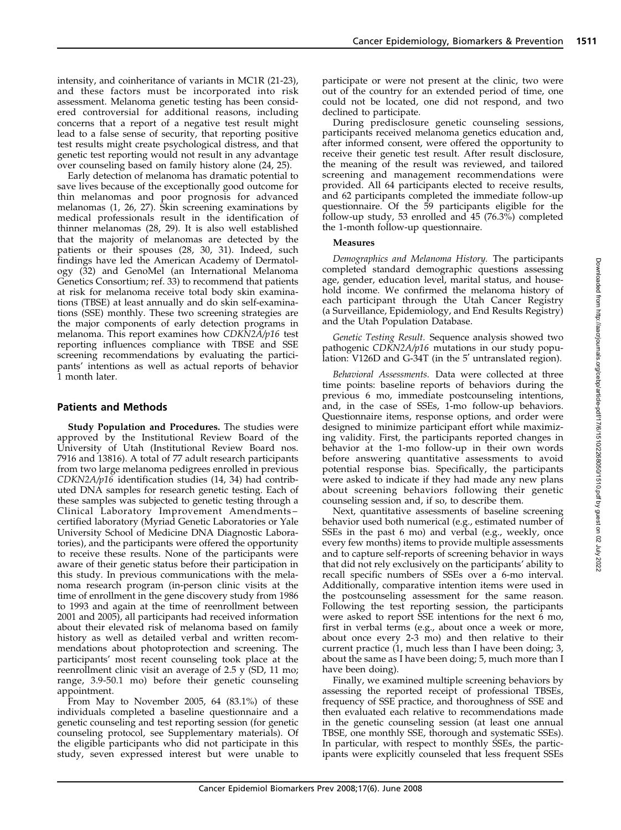intensity, and coinheritance of variants in MC1R (21-23), and these factors must be incorporated into risk assessment. Melanoma genetic testing has been considered controversial for additional reasons, including concerns that a report of a negative test result might lead to a false sense of security, that reporting positive test results might create psychological distress, and that genetic test reporting would not result in any advantage over counseling based on family history alone (24, 25).

Early detection of melanoma has dramatic potential to save lives because of the exceptionally good outcome for thin melanomas and poor prognosis for advanced melanomas (1, 26, 27). Skin screening examinations by medical professionals result in the identification of thinner melanomas (28, 29). It is also well established that the majority of melanomas are detected by the patients or their spouses (28, 30, 31). Indeed, such findings have led the American Academy of Dermatology (32) and GenoMel (an International Melanoma Genetics Consortium; ref. 33) to recommend that patients at risk for melanoma receive total body skin examinations (TBSE) at least annually and do skin self-examinations (SSE) monthly. These two screening strategies are the major components of early detection programs in melanoma. This report examines how CDKN2A/p16 test reporting influences compliance with TBSE and SSE screening recommendations by evaluating the participants' intentions as well as actual reports of behavior 1 month later.

# Patients and Methods

Study Population and Procedures. The studies were approved by the Institutional Review Board of the University of Utah (Institutional Review Board nos. 7916 and 13816). A total of 77 adult research participants from two large melanoma pedigrees enrolled in previous CDKN2A/p16 identification studies (14, 34) had contributed DNA samples for research genetic testing. Each of these samples was subjected to genetic testing through a Clinical Laboratory Improvement Amendments – certified laboratory (Myriad Genetic Laboratories or Yale University School of Medicine DNA Diagnostic Laboratories), and the participants were offered the opportunity to receive these results. None of the participants were aware of their genetic status before their participation in this study. In previous communications with the melanoma research program (in-person clinic visits at the time of enrollment in the gene discovery study from 1986 to 1993 and again at the time of reenrollment between 2001 and 2005), all participants had received information about their elevated risk of melanoma based on family history as well as detailed verbal and written recommendations about photoprotection and screening. The participants' most recent counseling took place at the reenrollment clinic visit an average of 2.5 y (SD, 11 mo; range, 3.9-50.1 mo) before their genetic counseling appointment.

From May to November 2005, 64 (83.1%) of these individuals completed a baseline questionnaire and a genetic counseling and test reporting session (for genetic counseling protocol, see Supplementary materials). Of the eligible participants who did not participate in this study, seven expressed interest but were unable to participate or were not present at the clinic, two were out of the country for an extended period of time, one could not be located, one did not respond, and two declined to participate.

During predisclosure genetic counseling sessions, participants received melanoma genetics education and, after informed consent, were offered the opportunity to receive their genetic test result. After result disclosure, the meaning of the result was reviewed, and tailored screening and management recommendations were provided. All 64 participants elected to receive results, and 62 participants completed the immediate follow-up questionnaire. Of the 59 participants eligible for the follow-up study, 53 enrolled and 45 (76.3%) completed the 1-month follow-up questionnaire.

## Measures

Demographics and Melanoma History. The participants completed standard demographic questions assessing age, gender, education level, marital status, and household income. We confirmed the melanoma history of each participant through the Utah Cancer Registry (a Surveillance, Epidemiology, and End Results Registry) and the Utah Population Database.

Genetic Testing Result. Sequence analysis showed two pathogenic CDKN2A/p16 mutations in our study population: V126D and G-34T (in the 5' untranslated region).

Behavioral Assessments. Data were collected at three time points: baseline reports of behaviors during the previous 6 mo, immediate postcounseling intentions, and, in the case of SSEs, 1-mo follow-up behaviors. Questionnaire items, response options, and order were designed to minimize participant effort while maximizing validity. First, the participants reported changes in behavior at the 1-mo follow-up in their own words before answering quantitative assessments to avoid potential response bias. Specifically, the participants were asked to indicate if they had made any new plans about screening behaviors following their genetic counseling session and, if so, to describe them.

Next, quantitative assessments of baseline screening behavior used both numerical (e.g., estimated number of SSEs in the past 6 mo) and verbal (e.g., weekly, once every few months) items to provide multiple assessments and to capture self-reports of screening behavior in ways that did not rely exclusively on the participants' ability to recall specific numbers of SSEs over a 6-mo interval. Additionally, comparative intention items were used in the postcounseling assessment for the same reason. Following the test reporting session, the participants were asked to report SSE intentions for the next  $\vec{6}$  mo, first in verbal terms (e.g., about once a week or more, about once every 2-3 mo) and then relative to their current practice (1, much less than I have been doing; 3, about the same as I have been doing; 5, much more than I have been doing).

Finally, we examined multiple screening behaviors by assessing the reported receipt of professional TBSEs, frequency of SSE practice, and thoroughness of SSE and then evaluated each relative to recommendations made in the genetic counseling session (at least one annual TBSE, one monthly SSE, thorough and systematic SSEs). In particular, with respect to monthly SSEs, the participants were explicitly counseled that less frequent SSEs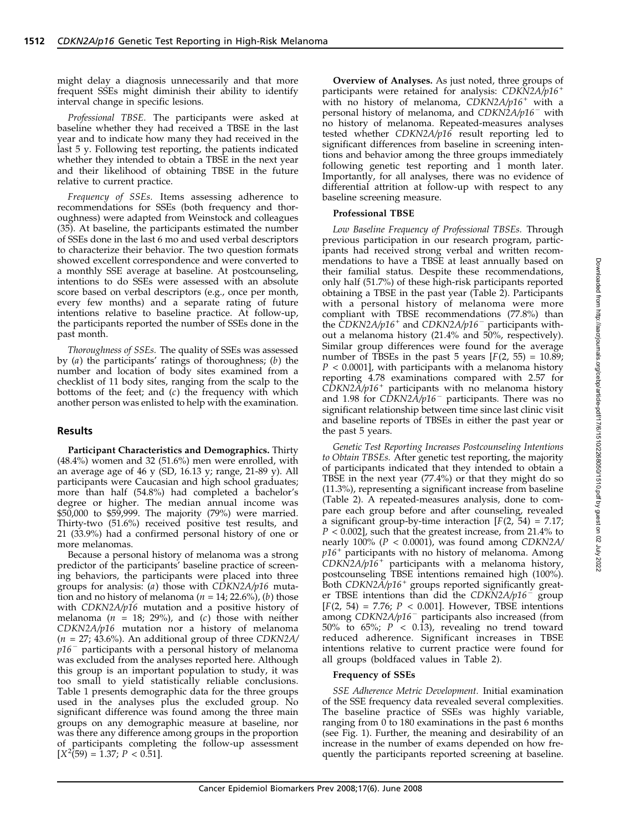might delay a diagnosis unnecessarily and that more frequent SSEs might diminish their ability to identify interval change in specific lesions.

Professional TBSE. The participants were asked at baseline whether they had received a TBSE in the last year and to indicate how many they had received in the last 5 y. Following test reporting, the patients indicated whether they intended to obtain a TBSE in the next year and their likelihood of obtaining TBSE in the future relative to current practice.

Frequency of SSEs. Items assessing adherence to recommendations for SSEs (both frequency and thoroughness) were adapted from Weinstockand colleagues (35). At baseline, the participants estimated the number of SSEs done in the last 6 mo and used verbal descriptors to characterize their behavior. The two question formats showed excellent correspondence and were converted to a monthly SSE average at baseline. At postcounseling, intentions to do SSEs were assessed with an absolute score based on verbal descriptors (e.g., once per month, every few months) and a separate rating of future intentions relative to baseline practice. At follow-up, the participants reported the number of SSEs done in the past month.

Thoroughness of SSEs. The quality of SSEs was assessed by  $(a)$  the participants' ratings of thoroughness;  $(b)$  the number and location of body sites examined from a checklist of 11 body sites, ranging from the scalp to the bottoms of the feet; and  $(c)$  the frequency with which another person was enlisted to help with the examination.

## Results

Participant Characteristics and Demographics. Thirty (48.4%) women and 32 (51.6%) men were enrolled, with an average age of 46 y (SD, 16.13 y; range, 21-89 y). All participants were Caucasian and high school graduates; more than half (54.8%) had completed a bachelor's degree or higher. The median annual income was \$50,000 to \$59,999. The majority (79%) were married. Thirty-two (51.6%) received positive test results, and 21 (33.9%) had a confirmed personal history of one or more melanomas.

Because a personal history of melanoma was a strong predictor of the participants' baseline practice of screening behaviors, the participants were placed into three groups for analysis:  $(a)$  those with CDKN2A/p16 mutation and no history of melanoma ( $n = 14$ ; 22.6%), (b) those with CDKN2A/p16 mutation and a positive history of melanoma ( $n = 18$ ; 29%), and (c) those with neither CDKN2A/p16 mutation nor a history of melanoma  $(n = 27; 43.6\%)$ . An additional group of three CDKN2A/  $p16$ <sup>-</sup> participants with a personal history of melanoma was excluded from the analyses reported here. Although this group is an important population to study, it was too small to yield statistically reliable conclusions. Table 1 presents demographic data for the three groups used in the analyses plus the excluded group. No significant difference was found among the three main groups on any demographic measure at baseline, nor was there any difference among groups in the proportion of participants completing the follow-up assessment  $[X^2(59) = 1.37; P < 0.51].$ 

Overview of Analyses. As just noted, three groups of participants were retained for analysis:  $CDKN2A/p16$ <sup>+</sup> with no history of melanoma,  $CDKN2A/p16^+$  with a personal history of melanoma, and  $CDKN2A/p16^-$  with no history of melanoma. Repeated-measures analyses tested whether CDKN2A/p16 result reporting led to significant differences from baseline in screening intentions and behavior among the three groups immediately following genetic test reporting and 1 month later. Importantly, for all analyses, there was no evidence of differential attrition at follow-up with respect to any baseline screening measure.

#### Professional TBSE

Low Baseline Frequency of Professional TBSEs. Through previous participation in our research program, participants had received strong verbal and written recommendations to have a TBSE at least annually based on their familial status. Despite these recommendations, only half (51.7%) of these high-risk participants reported obtaining a TBSE in the past year (Table 2). Participants with a personal history of melanoma were more compliant with TBSE recommendations (77.8%) than the CDKN2A/p16<sup>+</sup> and CDKN2A/p16<sup>-</sup> participants without a melanoma history (21.4% and 50%, respectively). Similar group differences were found for the average number of TBSEs in the past 5 years  $[F(2, 55) = 10.89;$  $P < 0.0001$ , with participants with a melanoma history reporting 4.78 examinations compared with 2.57 for  $CDKN2A/p16$ <sup>+</sup> participants with no melanoma history and 1.98 for  $CDKN2A/p16^-$  participants. There was no significant relationship between time since last clinic visit and baseline reports of TBSEs in either the past year or the past 5 years.

Genetic Test Reporting Increases Postcounseling Intentions to Obtain TBSEs. After genetic test reporting, the majority of participants indicated that they intended to obtain a TBSE in the next year  $(77.4%)$  or that they might do so (11.3%), representing a significant increase from baseline (Table 2). A repeated-measures analysis, done to compare each group before and after counseling, revealed a significant group-by-time interaction  $[F(2, 54) = 7.17;$  $P < 0.002$ ], such that the greatest increase, from 21.4% to nearly  $100\%$  ( $P < 0.0001$ ), was found among CDKN2A/  $p16$ <sup>+</sup> participants with no history of melanoma. Among  $\overleftrightarrow{CDKN2A/p16^+}$  participants with a melanoma history, postcounseling TBSE intentions remained high (100%). Both  $CDKN2A/p16$ <sup>+</sup> groups reported significantly greater TBSE intentions than did the  $CDKN2A/p16$ <sup>-</sup> group  $[F(2, 54) = 7.76; P < 0.001]$ . However, TBSE intentions among  $CDKN2A/p16^-$  participants also increased (from 50% to 65%;  $P < 0.13$ ), revealing no trend toward reduced adherence. Significant increases in TBSE intentions relative to current practice were found for all groups (boldfaced values in Table 2).

#### Frequency of SSEs

SSE Adherence Metric Development. Initial examination of the SSE frequency data revealed several complexities. The baseline practice of SSEs was highly variable, ranging from 0 to 180 examinations in the past 6 months (see Fig. 1). Further, the meaning and desirability of an increase in the number of exams depended on how frequently the participants reported screening at baseline.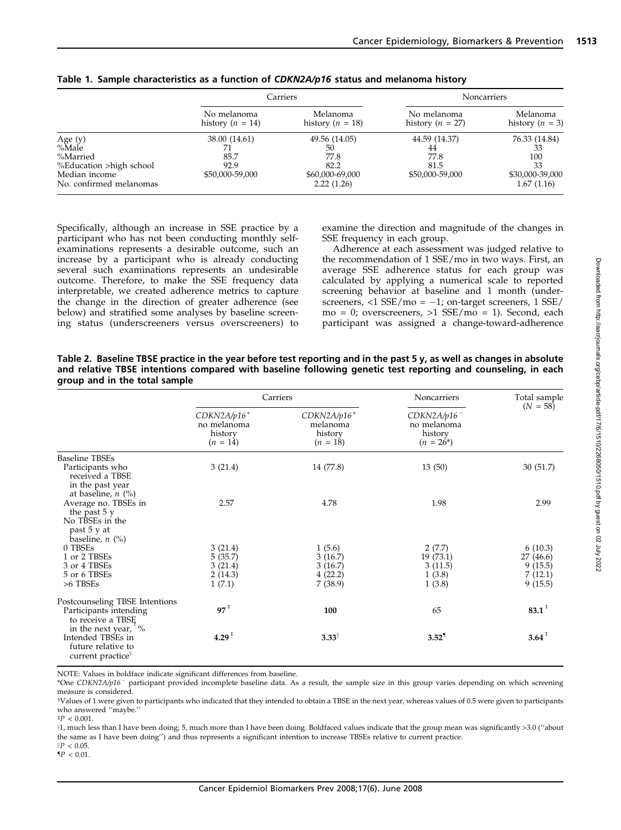|                                          |                                     | Carriers                         | Noncarriers                         |                               |  |
|------------------------------------------|-------------------------------------|----------------------------------|-------------------------------------|-------------------------------|--|
|                                          | No melanoma<br>history ( $n = 14$ ) | Melanoma<br>history ( $n = 18$ ) | No melanoma<br>history ( $n = 27$ ) | Melanoma<br>history $(n = 3)$ |  |
| Age $(y)$                                | 38.00 (14.61)                       | 49.56 (14.05)                    | 44.59 (14.37)                       | 76.33 (14.84)                 |  |
| %Male                                    |                                     | 50                               | 44                                  |                               |  |
| %Married                                 | 85.7                                | 77.8                             | 77.8                                | 100                           |  |
| %Education >high school                  | 92.9                                | 82.2                             | 81.5                                | 33                            |  |
| Median income<br>No. confirmed melanomas | \$50,000-59,000                     | \$60,000-69,000<br>2.22(1.26)    | \$50,000-59,000                     | \$30,000-39,000<br>1.67(1.16) |  |

## Table 1. Sample characteristics as a function of CDKN2A/p16 status and melanoma history

Specifically, although an increase in SSE practice by a participant who has not been conducting monthly selfexaminations represents a desirable outcome, such an increase by a participant who is already conducting several such examinations represents an undesirable outcome. Therefore, to make the SSE frequency data interpretable, we created adherence metrics to capture the change in the direction of greater adherence (see below) and stratified some analyses by baseline screening status (underscreeners versus overscreeners) to examine the direction and magnitude of the changes in SSE frequency in each group.

Adherence at each assessment was judged relative to the recommendation of 1 SSE/mo in two ways. First, an average SSE adherence status for each group was calculated by applying a numerical scale to reported screening behavior at baseline and 1 month (underscreeners,  $<$ 1 SSE/mo =  $-1$ ; on-target screeners, 1 SSE/  $mo = 0$ ; overscreeners,  $>1$  SSE/mo = 1). Second, each participant was assigned a change-toward-adherence

Table 2. Baseline TBSE practice in the year before test reporting and in the past 5 y, as well as changes in absolute and relative TBSE intentions compared with baseline following genetic test reporting and counseling, in each group and in the total sample

|                                                                                              |                                                       | Carriers                                           | Noncarriers                                              | Total sample                     |  |
|----------------------------------------------------------------------------------------------|-------------------------------------------------------|----------------------------------------------------|----------------------------------------------------------|----------------------------------|--|
|                                                                                              | $CDKN2A/p16+$<br>no melanoma<br>history<br>$(n = 14)$ | $CDKN2A/p16+$<br>melanoma<br>history<br>$(n = 18)$ | $CDKN2A/p16^-$<br>no melanoma<br>history<br>$(n = 26^*)$ | $(N = 58)$                       |  |
| <b>Baseline TBSEs</b>                                                                        |                                                       |                                                    |                                                          |                                  |  |
| Participants who<br>received a TBSE<br>in the past year<br>at baseline, $n$ (%)              | 3(21.4)                                               | 14 (77.8)                                          | 13(50)                                                   | 30(51.7)                         |  |
| Average no. TBSEs in<br>the past $5y$<br>No TBSEs in the<br>past 5 y at<br>baseline, $n$ (%) | 2.57                                                  | 4.78                                               | 1.98                                                     | 2.99                             |  |
| 0 TBSEs                                                                                      | 3(21.4)                                               | 1(5.6)                                             | 2(7.7)                                                   | 6(10.3)                          |  |
| 1 or 2 TBSEs                                                                                 | 5(35.7)                                               | 3(16.7)                                            | 19 (73.1)                                                | 27 (46.6)                        |  |
| 3 or 4 TBSEs                                                                                 | 3(21.4)                                               | 3(16.7)                                            | 3(11.5)                                                  | 9(15.5)                          |  |
| 5 or 6 TBSEs                                                                                 | 2(14.3)                                               | 4(22.2)                                            | 1(3.8)                                                   | 7(12.1)                          |  |
| >6 TBSEs                                                                                     | 1(7.1)                                                | 7(38.9)                                            | 1(3.8)                                                   | 9(15.5)                          |  |
| Postcounseling TBSE Intentions                                                               |                                                       |                                                    |                                                          |                                  |  |
| Participants intending<br>to receive a TBSE<br>in the next year, $\frac{1}{1}$ %             | $97^{\degree}$                                        | 100                                                | 65                                                       | $83.1$ <sup><math>#</math></sup> |  |
| Intended TBSEs in<br>future relative to<br>current practice <sup>3</sup>                     | $4.29$ <sup>±</sup>                                   | 3.33                                               | $3.52^{1}$                                               | $3.64$ <sup><math>#</math></sup> |  |

NOTE: Values in boldface indicate significant differences from baseline.

\*One CDKN2A/p16<sup>-</sup> participant provided incomplete baseline data. As a result, the sample size in this group varies depending on which screening measure is considered.

cValues of 1 were given to participants who indicated that they intended to obtain a TBSE in the next year, whereas values of 0.5 were given to participants who answered ''maybe.''  $^\ddag P$  < 0.001.

x1, much less than I have been doing; 5, much more than I have been doing. Boldfaced values indicate that the group mean was significantly >3.0 (''about the same as I have been doing'') and thus represents a significant intention to increase TBSEs relative to current practice.

 $\mathbb{P} < 0.05$ .  $\P P < 0.01$ .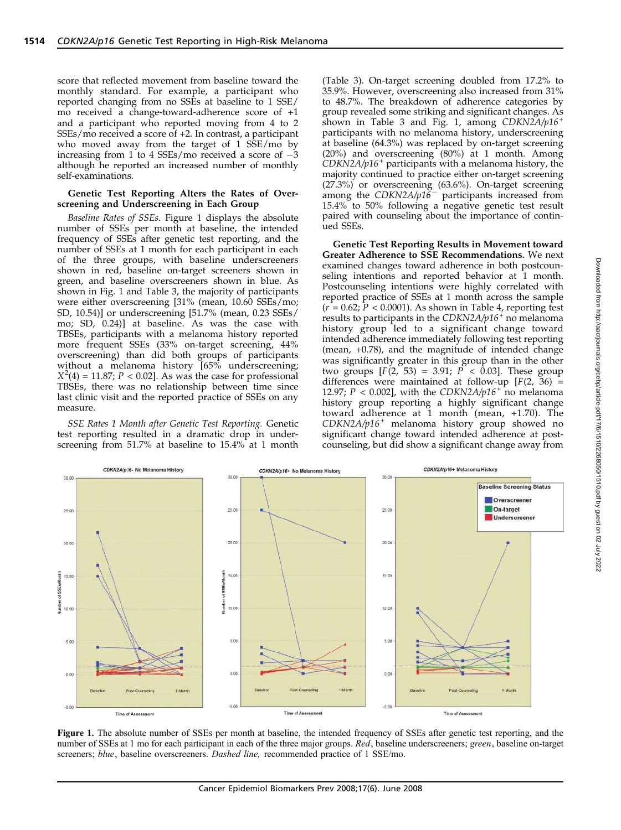score that reflected movement from baseline toward the monthly standard. For example, a participant who reported changing from no SSEs at baseline to 1 SSE/ mo received a change-toward-adherence score of +1 and a participant who reported moving from 4 to 2 SSEs/mo received a score of +2. In contrast, a participant who moved away from the target of 1 SSE/mo by increasing from 1 to 4 SSEs/mo received a score of  $-3$ although he reported an increased number of monthly self-examinations.

#### Genetic Test Reporting Alters the Rates of Overscreening and Underscreening in Each Group

Baseline Rates of SSEs. Figure 1 displays the absolute number of SSEs per month at baseline, the intended frequency of SSEs after genetic test reporting, and the number of SSEs at 1 month for each participant in each of the three groups, with baseline underscreeners shown in red, baseline on-target screeners shown in green, and baseline overscreeners shown in blue. As shown in Fig. 1 and Table 3, the majority of participants were either overscreening [31% (mean, 10.60 SSEs/mo; SD, 10.54)] or underscreening [51.7% (mean, 0.23 SSEs/ mo; SD, 0.24)] at baseline. As was the case with TBSEs, participants with a melanoma history reported more frequent SSEs (33% on-target screening, 44% overscreening) than did both groups of participants without a melanoma history [65% underscreening;  $X^2(4) = 11.87; P < 0.02$ ]. As was the case for professional TBSEs, there was no relationship between time since last clinic visit and the reported practice of SSEs on any measure.

SSE Rates 1 Month after Genetic Test Reporting. Genetic test reporting resulted in a dramatic drop in underscreening from 51.7% at baseline to 15.4% at 1 month (Table 3). On-target screening doubled from 17.2% to 35.9%. However, overscreening also increased from 31% to 48.7%. The breakdown of adherence categories by group revealed some striking and significant changes. As shown in Table 3 and Fig. 1, among  $CDKN2A/p16$ <sup>+</sup> participants with no melanoma history, underscreening at baseline (64.3%) was replaced by on-target screening (20%) and overscreening (80%) at 1 month. Among  $CDKN2A/p16$ <sup>+</sup> participants with a melanoma history, the majority continued to practice either on-target screening (27.3%) or overscreening (63.6%). On-target screening among the  $CDKN2A/p16^-$  participants increased from 15.4% to 50% following a negative genetic test result paired with counseling about the importance of continued SSEs.

Genetic Test Reporting Results in Movement toward Greater Adherence to SSE Recommendations. We next examined changes toward adherence in both postcounseling intentions and reported behavior at 1 month. Postcounseling intentions were highly correlated with reported practice of SSEs at 1 month across the sample  $(r = 0.62; P < 0.0001)$ . As shown in Table 4, reporting test results to participants in the  $CDKN2A/p16$ <sup>+</sup> no melanoma history group led to a significant change toward intended adherence immediately following test reporting (mean, +0.78), and the magnitude of intended change was significantly greater in this group than in the other two groups  $[F(2, 53) = 3.91; P < 0.03]$ . These group differences were maintained at follow-up  $[F(2, 36) =$ 12.97;  $P < 0.002$ , with the CDKN2A/p16<sup>+</sup> no melanoma history group reporting a highly significant change toward adherence at 1 month (mean, +1.70). The CDKN2A/p16<sup>+</sup> melanoma history group showed no significant change toward intended adherence at postcounseling, but did show a significant change away from



Figure 1. The absolute number of SSEs per month at baseline, the intended frequency of SSEs after genetic test reporting, and the number of SSEs at 1 mo for each participant in each of the three major groups. Red, baseline underscreeners; green, baseline on-target screeners; blue, baseline overscreeners. Dashed line, recommended practice of 1 SSE/mo.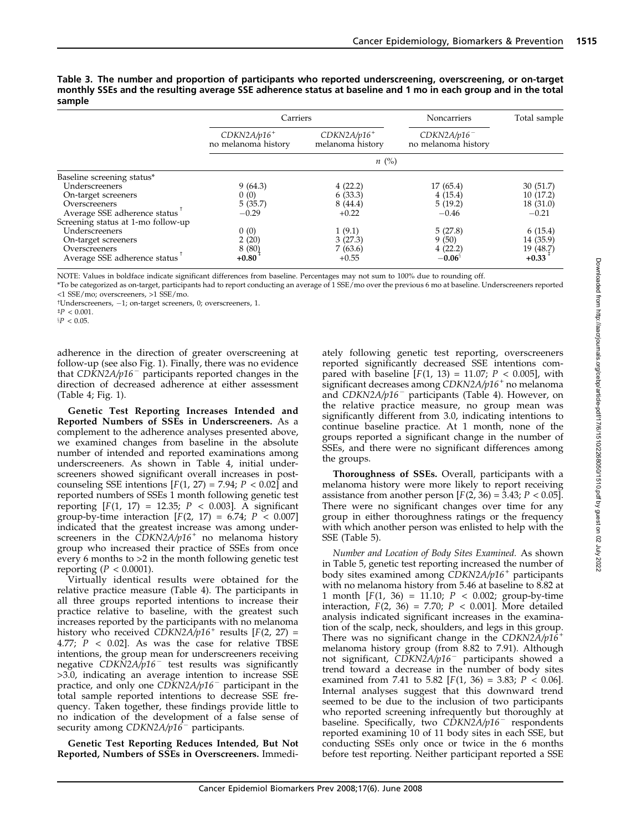|                                    | Carriers                             |                                   | Noncarriers                           | Total sample |  |  |  |
|------------------------------------|--------------------------------------|-----------------------------------|---------------------------------------|--------------|--|--|--|
|                                    | $CDKN2A/p16+$<br>no melanoma history | $CDKN2A/p16+$<br>melanoma history | $CDKN2A/p16^-$<br>no melanoma history |              |  |  |  |
|                                    | $n \ (\%)$                           |                                   |                                       |              |  |  |  |
| Baseline screening status*         |                                      |                                   |                                       |              |  |  |  |
| Underscreeners                     | 9(64.3)                              | 4(22.2)                           | 17(65.4)                              | 30 (51.7)    |  |  |  |
| On-target screeners                | 0(0)                                 | 6(33.3)                           | 4(15.4)                               | 10(17.2)     |  |  |  |
| Overscreeners                      | 5(35.7)                              | 8(44.4)                           | 5(19.2)                               | 18(31.0)     |  |  |  |
| Average SSE adherence status       | $-0.29$                              | $+0.22$                           | $-0.46$                               | $-0.21$      |  |  |  |
| Screening status at 1-mo follow-up |                                      |                                   |                                       |              |  |  |  |
| Underscreeners                     | 0(0)                                 | 1(9.1)                            | 5(27.8)                               | 6(15.4)      |  |  |  |
| On-target screeners                | 2(20)                                | 3(27.3)                           | 9(50)                                 | 14 (35.9)    |  |  |  |
| Overscreeners                      | 8(80)                                | 7(63.6)                           | 4(22.2)                               | 19 (48.7)    |  |  |  |
| Average SSE adherence status       | $+0.80$                              | $+0.55$                           | $-0.06^{\circ}$                       | $+0.33$      |  |  |  |

Table 3. The number and proportion of participants who reported underscreening, overscreening, or on-target monthly SSEs and the resulting average SSE adherence status at baseline and 1 mo in each group and in the total sample

NOTE: Values in boldface indicate significant differences from baseline. Percentages may not sum to 100% due to rounding off.

\*To be categorized as on-target, participants had to report conducting an average of 1 SSE/mo over the previous 6 mo at baseline. Underscreeners reported <1 SSE/mo; overscreeners, >1 SSE/mo.

tUnderscreeners, -1; on-target screeners, 0; overscreeners, 1.

adherence in the direction of greater overscreening at follow-up (see also Fig. 1). Finally, there was no evidence that  $CD\bar{K}N2A/p16^-$  participants reported changes in the direction of decreased adherence at either assessment (Table 4; Fig. 1).

Genetic Test Reporting Increases Intended and Reported Numbers of SSEs in Underscreeners. As a complement to the adherence analyses presented above, we examined changes from baseline in the absolute number of intended and reported examinations among underscreeners. As shown in Table 4, initial underscreeners showed significant overall increases in postcounseling SSE intentions  $[F(1, 27) = 7.94; P < 0.02]$  and reported numbers of SSEs 1 month following genetic test reporting  $[F(1, 17) = 12.35; P < 0.003]$ . A significant group-by-time interaction  $[F(2, 17) = 6.74; P < 0.007]$ indicated that the greatest increase was among underscreeners in the  $CDKN2A/p16<sup>+</sup>$  no melanoma history group who increased their practice of SSEs from once every 6 months to >2 in the month following genetic test reporting ( $P < 0.0001$ ).

Virtually identical results were obtained for the relative practice measure (Table 4). The participants in all three groups reported intentions to increase their practice relative to baseline, with the greatest such increases reported by the participants with no melanoma history who received CDKN2A/p16<sup>+</sup> results [F(2, 27) = 4.77;  $P$  < 0.02]. As was the case for relative TBSE intentions, the group mean for underscreeners receiving negative  $CDK\bar{N}2A/\bar{p}16^-$  test results was significantly >3.0, indicating an average intention to increase SSE practice, and only one  $CDKN2A/p16^-$  participant in the total sample reported intentions to decrease SSE frequency. Taken together, these findings provide little to no indication of the development of a false sense of security among  $CDKN2A/p16^-$  participants.

Genetic Test Reporting Reduces Intended, But Not Reported, Numbers of SSEs in Overscreeners. Immediately following genetic test reporting, overscreeners reported significantly decreased SSE intentions compared with baseline  $[F(1, 13) = 11.07; P < 0.005]$ , with significant decreases among  $CDKN2A/p16$ <sup>+</sup> no melanoma and  $CDKN2A/p16^-$  participants (Table 4). However, on the relative practice measure, no group mean was significantly different from 3.0, indicating intentions to continue baseline practice. At 1 month, none of the groups reported a significant change in the number of SSEs, and there were no significant differences among the groups.

Thoroughness of SSEs. Overall, participants with a melanoma history were more likely to report receiving assistance from another person  $[F(2, 36) = 3.43; P < 0.05]$ . There were no significant changes over time for any group in either thoroughness ratings or the frequency with which another person was enlisted to help with the SSE (Table 5).

Number and Location of Body Sites Examined. As shown in Table 5, genetic test reporting increased the number of body sites examined among  $CDKN2A/p16<sup>+</sup>$  participants with no melanoma history from 5.46 at baseline to 8.82 at 1 month  $[F(1, 36) = 11.10; P < 0.002;$  group-by-time interaction,  $F(2, 36) = 7.70$ ;  $P < 0.001$ ]. More detailed analysis indicated significant increases in the examination of the scalp, neck, shoulders, and legs in this group. There was no significant change in the CDKN2A/p16<sup>+</sup> melanoma history group (from 8.82 to 7.91). Although not significant, CDKN2A/p16<sup>-</sup> participants showed a trend toward a decrease in the number of body sites examined from 7.41 to 5.82  $[F(1, 36) = 3.83; P < 0.06]$ . Internal analyses suggest that this downward trend seemed to be due to the inclusion of two participants who reported screening infrequently but thoroughly at baseline. Specifically, two  $\widehat{CDKN2A/p16}$  respondents reported examining 10 of 11 body sites in each SSE, but conducting SSEs only once or twice in the 6 months before test reporting. Neither participant reported a SSE

 $P < 0.001$ .

 $P < 0.05$ .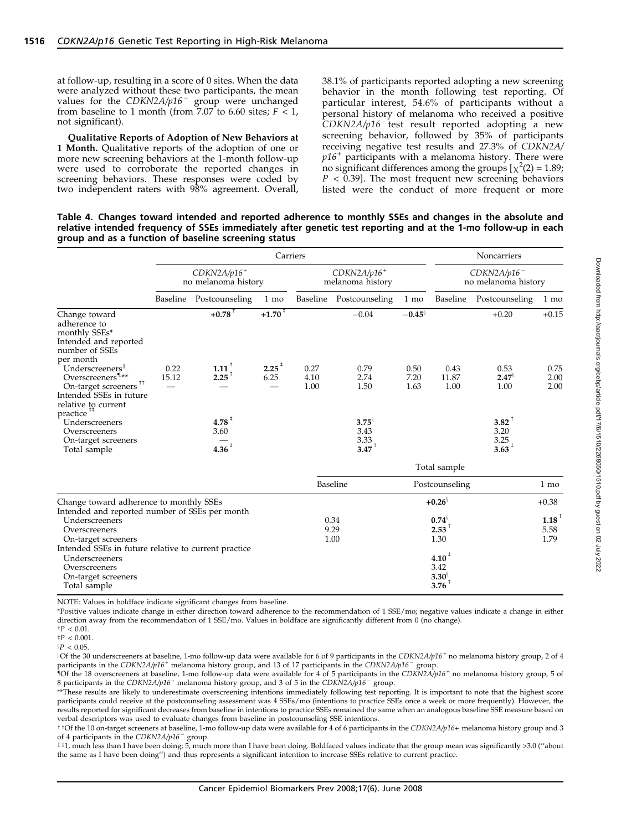at follow-up, resulting in a score of 0 sites. When the data were analyzed without these two participants, the mean values for the  $CDKN2A/p16^-$  group were unchanged from baseline to 1 month (from 7.07 to 6.60 sites;  $F \le 1$ , not significant).

Qualitative Reports of Adoption of New Behaviors at 1 Month. Qualitative reports of the adoption of one or more new screening behaviors at the 1-month follow-up were used to corroborate the reported changes in screening behaviors. These responses were coded by two independent raters with 98% agreement. Overall, 38.1% of participants reported adopting a new screening behavior in the month following test reporting. Of particular interest, 54.6% of participants without a personal history of melanoma who received a positive  $CDKN2A/p16$  test result reported adopting a new screening behavior, followed by 35% of participants receiving negative test results and 27.3% of CDKN2A/  $p16<sup>+</sup>$  participants with a melanoma history. There were no significant differences among the groups  $[\chi^2(2) = 1.89;$  $P < 0.39$ ]. The most frequent new screening behaviors listed were the conduct of more frequent or more

Table 4. Changes toward intended and reported adherence to monthly SSEs and changes in the absolute and relative intended frequency of SSEs immediately after genetic test reporting and at the 1-mo follow-up in each group and as a function of baseline screening status

|                                                                                                        | Carriers                                         |                      |                                               |              | Noncarriers                           |                |               |                              |              |
|--------------------------------------------------------------------------------------------------------|--------------------------------------------------|----------------------|-----------------------------------------------|--------------|---------------------------------------|----------------|---------------|------------------------------|--------------|
|                                                                                                        | $CDKN2A/p16$ <sup>+</sup><br>no melanoma history |                      | $CDKN2A/p16$ <sup>+</sup><br>melanoma history |              | $CDKN2A/p16^-$<br>no melanoma history |                |               |                              |              |
|                                                                                                        | Baseline                                         | Postcounseling       | 1 mo                                          | Baseline     | Postcounseling                        | $1 \text{ mo}$ | Baseline      | Postcounseling               | 1 mo         |
| Change toward<br>adherence to<br>monthly SSEs*<br>Intended and reported<br>number of SSEs<br>per month |                                                  | $+0.78$ <sup>†</sup> | $+1.70$ <sup>+</sup>                          |              | $-0.04$                               | $-0.45^{\S}$   |               | $+0.20$                      | $+0.15$      |
| Underscreeners                                                                                         | 0.22                                             | $1.11$ <sup>T</sup>  | $2.25$ <sup>‡</sup>                           | 0.27         | 0.79                                  | 0.50           | 0.43          | 0.53                         | 0.75         |
| Overscreeners <sup>1,**</sup><br>On-target screeners $^{\uparrow\uparrow}$                             | 15.12                                            | $2.25$ <sup>+</sup>  | 6.25                                          | 4.10<br>1.00 | 2.74<br>1.50                          | 7.20<br>1.63   | 11.87<br>1.00 | $2.47^{\frac{5}{3}}$<br>1.00 | 2.00<br>2.00 |
| Intended SSEs in future<br>relative to current<br>practice <sup>##</sup>                               |                                                  |                      |                                               |              |                                       |                |               |                              |              |
| Underscreeners                                                                                         |                                                  | $4.78$ <sup>‡</sup>  |                                               |              | $3.75^{\frac{5}{3}}$                  |                |               | 3.82                         |              |
| Overscreeners<br>On-target screeners                                                                   |                                                  | 3.60                 |                                               |              | 3.43<br>3.33                          |                |               | 3.20<br>3.25                 |              |
| Total sample                                                                                           |                                                  | $4.36$ <sup>±</sup>  |                                               |              | $3.47$ <sup>+</sup>                   |                |               | $3.63^{\text{+}}$            |              |
|                                                                                                        |                                                  |                      |                                               |              |                                       |                | Total cample  |                              |              |

|                                                      | TOtal sample |                              |         |  |
|------------------------------------------------------|--------------|------------------------------|---------|--|
|                                                      | Baseline     | Postcounseling               | 1 mo    |  |
| Change toward adherence to monthly SSEs              |              | $+0.26^{\circ}$              | $+0.38$ |  |
| Intended and reported number of SSEs per month       |              |                              |         |  |
| Underscreeners                                       | 0.34         | $0.74^{\frac{5}{3}}$         | 1.18    |  |
| Overscreeners                                        | 9.29         | 2.53                         | 5.58    |  |
| On-target screeners                                  | 1.00         | 1.30                         | 1.79    |  |
| Intended SSEs in future relative to current practice |              |                              |         |  |
| Underscreeners                                       |              | $4.10^+$                     |         |  |
| Overscreeners                                        |              | 3.42                         |         |  |
| On-target screeners                                  |              |                              |         |  |
| Total sample                                         |              | $3.30^{\frac{5}{3}}$<br>3.76 |         |  |

NOTE: Values in boldface indicate significant changes from baseline.

\*Positive values indicate change in either direction toward adherence to the recommendation of 1 SSE/mo; negative values indicate a change in either direction away from the recommendation of 1 SSE/mo. Values in boldface are significantly different from 0 (no change).

 $^{\dagger}P$  < 0.01.

 $^\ddag P$  < 0.001.  $P < 0.05$ .

 $\parallel$ Of the 30 underscreeners at baseline, 1-mo follow-up data were available for 6 of 9 participants in the CDKN2A/p16<sup>+</sup> no melanoma history group, 2 of 4 participants in the CDKN2A/p16<sup>+</sup> melanoma history group, and 13 of 17 participants in the CDKN2A/p16<sup>-</sup> group.

 ${^4}$ Of the 18 overscreeners at baseline, 1-mo follow-up data were available for 4 of 5 participants in the CDKN2A/p16<sup>+</sup> no melanoma history group, 5 of 8 participants in the CDKN2A/p16<sup>+</sup> melanoma history group, and 3 of 5 in the CDKN2A/p16<sup>-</sup> group.

\*\*These results are likely to underestimate overscreening intentions immediately following test reporting. It is important to note that the highest score participants could receive at the postcounseling assessment was 4 SSEs/mo (intentions to practice SSEs once a week or more frequently). However, the results reported for significant decreases from baseline in intentions to practice SSEs remained the same when an analogous baseline SSE measure based on verbal descriptors was used to evaluate changes from baseline in postcounseling SSE intentions.

t tOf the 10 on-target screeners at baseline, 1-mo follow-up data were available for 4 of 6 participants in the CDKN2A/p16+ melanoma history group and 3 of 4 participants in the CDKN2A/p16<sup>-</sup> group.

bb1, much less than I have been doing; 5, much more than I have been doing. Boldfaced values indicate that the group mean was significantly >3.0 (''about the same as I have been doing'') and thus represents a significant intention to increase SSEs relative to current practice.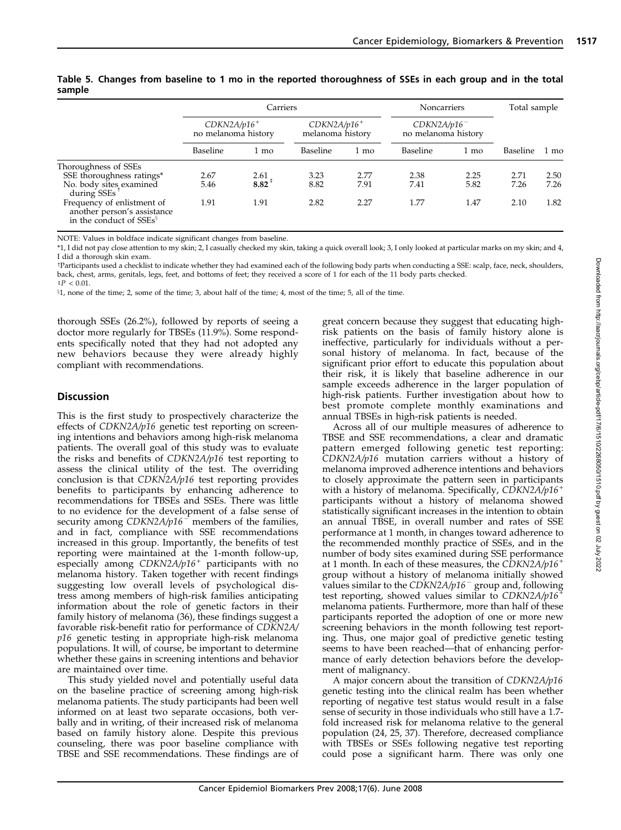|                                                                                                                           | Carriers                                         |                             |                                               |                      | Noncarriers                           |                      | Total sample         |                      |
|---------------------------------------------------------------------------------------------------------------------------|--------------------------------------------------|-----------------------------|-----------------------------------------------|----------------------|---------------------------------------|----------------------|----------------------|----------------------|
|                                                                                                                           | $CDKN2A/p16$ <sup>+</sup><br>no melanoma history |                             | $CDKN2A/p16$ <sup>+</sup><br>melanoma history |                      | $CDKN2A/p16^-$<br>no melanoma history |                      |                      |                      |
|                                                                                                                           | Baseline                                         | 1 mo                        | Baseline                                      | 1 mo                 | Baseline                              | 1 mo                 | Baseline             | 1 mo                 |
| Thoroughness of SSEs<br>SSE thoroughness ratings*<br>No. body sites examined<br>during SSEs<br>Frequency of enlistment of | 2.67<br>5.46<br>1.91                             | $\frac{2.61}{8.82}$<br>1.91 | 3.23<br>8.82<br>2.82                          | 2.77<br>7.91<br>2.27 | 2.38<br>7.41<br>1.77                  | 2.25<br>5.82<br>1.47 | 2.71<br>7.26<br>2.10 | 2.50<br>7.26<br>1.82 |
| another person's assistance<br>in the conduct of SSEs <sup>§</sup>                                                        |                                                  |                             |                                               |                      |                                       |                      |                      |                      |

Table 5. Changes from baseline to 1 mo in the reported thoroughness of SSEs in each group and in the total sample

NOTE: Values in boldface indicate significant changes from baseline.

\*1, I did not pay close attention to my skin; 2, I casually checked my skin, taking a quick overall look; 3, I only looked at particular marks on my skin; and 4, I did a thorough skin exam.

cParticipants used a checklist to indicate whether they had examined each of the following body parts when conducting a SSE: scalp, face, neck, shoulders, back, chest, arms, genitals, legs, feet, and bottoms of feet; they received a score of 1 for each of the 11 body parts checked.

 $^{\ddagger}P < 0.01$ .  $$1,$  none of the time; 2, some of the time; 3, about half of the time; 4, most of the time; 5, all of the time.

thorough SSEs (26.2%), followed by reports of seeing a doctor more regularly for TBSEs (11.9%). Some respondents specifically noted that they had not adopted any new behaviors because they were already highly compliant with recommendations.

# **Discussion**

This is the first study to prospectively characterize the effects of CDKN2A/p16 genetic test reporting on screening intentions and behaviors among high-risk melanoma patients. The overall goal of this study was to evaluate the risks and benefits of CDKN2A/p16 test reporting to assess the clinical utility of the test. The overriding conclusion is that  $CDKN2A/p16$  test reporting provides benefits to participants by enhancing adherence to recommendations for TBSEs and SSEs. There was little to no evidence for the development of a false sense of security among  $CDKN2A/p16$ <sup>-</sup> members of the families, and in fact, compliance with SSE recommendations increased in this group. Importantly, the benefits of test reporting were maintained at the 1-month follow-up, especially among  $CDKN2A/p16^+$  participants with no melanoma history. Taken together with recent findings suggesting low overall levels of psychological distress among members of high-risk families anticipating information about the role of genetic factors in their family history of melanoma (36), these findings suggest a favorable risk-benefit ratio for performance of CDKN2A/  $p16$  genetic testing in appropriate high-risk melanoma populations. It will, of course, be important to determine whether these gains in screening intentions and behavior are maintained over time.

This study yielded novel and potentially useful data on the baseline practice of screening among high-risk melanoma patients. The study participants had been well informed on at least two separate occasions, both verbally and in writing, of their increased risk of melanoma based on family history alone. Despite this previous counseling, there was poor baseline compliance with TBSE and SSE recommendations. These findings are of great concern because they suggest that educating highrisk patients on the basis of family history alone is ineffective, particularly for individuals without a personal history of melanoma. In fact, because of the significant prior effort to educate this population about their risk, it is likely that baseline adherence in our sample exceeds adherence in the larger population of high-risk patients. Further investigation about how to best promote complete monthly examinations and annual TBSEs in high-risk patients is needed.

Across all of our multiple measures of adherence to TBSE and SSE recommendations, a clear and dramatic pattern emerged following genetic test reporting: CDKN2A/p16 mutation carriers without a history of melanoma improved adherence intentions and behaviors to closely approximate the pattern seen in participants with a history of melanoma. Specifically, CDKN2A/p16<sup>+</sup> participants without a history of melanoma showed statistically significant increases in the intention to obtain an annual TBSE, in overall number and rates of SSE performance at 1 month, in changes toward adherence to the recommended monthly practice of SSEs, and in the number of body sites examined during SSE performance at 1 month. In each of these measures, the CDKN2A/p16<sup>+</sup> group without a history of melanoma initially showed values similar to the CDKN2A/p16<sup>-</sup> group and, following test reporting, showed values similar to  $CDKN2A/p16$ <sup>+</sup> melanoma patients. Furthermore, more than half of these participants reported the adoption of one or more new screening behaviors in the month following test reporting. Thus, one major goal of predictive genetic testing seems to have been reached—that of enhancing performance of early detection behaviors before the development of malignancy.

A major concern about the transition of CDKN2A/p16 genetic testing into the clinical realm has been whether reporting of negative test status would result in a false sense of security in those individuals who still have a 1.7 fold increased risk for melanoma relative to the general population (24, 25, 37). Therefore, decreased compliance with TBSEs or SSEs following negative test reporting could pose a significant harm. There was only one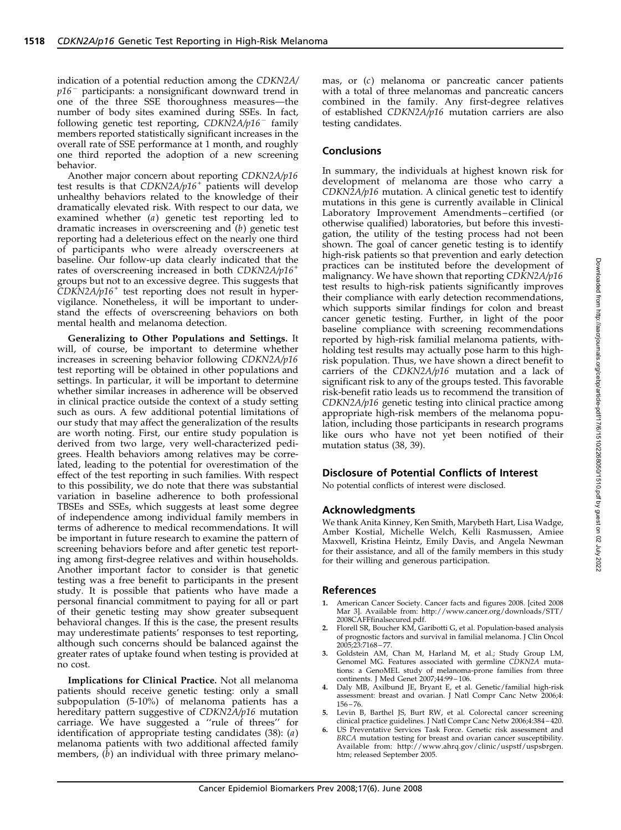indication of a potential reduction among the CDKN2A/  $p16$ <sup>-</sup> participants: a nonsignificant downward trend in one of the three SSE thoroughness measures—the number of body sites examined during SSEs. In fact, following genetic test reporting,  $CDKN2A/p16^-$  family members reported statistically significant increases in the overall rate of SSE performance at 1 month, and roughly one third reported the adoption of a new screening behavior.

Another major concern about reporting CDKN2A/p16 test results is that  $CDKN2A/p16^+$  patients will develop unhealthy behaviors related to the knowledge of their dramatically elevated risk. With respect to our data, we examined whether (a) genetic test reporting led to dramatic increases in overscreening and (b) genetic test reporting had a deleterious effect on the nearly one third of participants who were already overscreeners at baseline. Our follow-up data clearly indicated that the rates of overscreening increased in both CDKN2A/p16<sup>+</sup> groups but not to an excessive degree. This suggests that  $CDKN2A/p16$ <sup>+</sup> test reporting does not result in hypervigilance. Nonetheless, it will be important to understand the effects of overscreening behaviors on both mental health and melanoma detection.

Generalizing to Other Populations and Settings. It will, of course, be important to determine whether increases in screening behavior following CDKN2A/p16 test reporting will be obtained in other populations and settings. In particular, it will be important to determine whether similar increases in adherence will be observed in clinical practice outside the context of a study setting such as ours. A few additional potential limitations of our study that may affect the generalization of the results are worth noting. First, our entire study population is derived from two large, very well-characterized pedigrees. Health behaviors among relatives may be correlated, leading to the potential for overestimation of the effect of the test reporting in such families. With respect to this possibility, we do note that there was substantial variation in baseline adherence to both professional TBSEs and SSEs, which suggests at least some degree of independence among individual family members in terms of adherence to medical recommendations. It will be important in future research to examine the pattern of screening behaviors before and after genetic test reporting among first-degree relatives and within households. Another important factor to consider is that genetic testing was a free benefit to participants in the present study. It is possible that patients who have made a personal financial commitment to paying for all or part of their genetic testing may show greater subsequent behavioral changes. If this is the case, the present results may underestimate patients' responses to test reporting, although such concerns should be balanced against the greater rates of uptake found when testing is provided at no cost.

Implications for Clinical Practice. Not all melanoma patients should receive genetic testing: only a small subpopulation (5-10%) of melanoma patients has a hereditary pattern suggestive of CDKN2A/p16 mutation carriage. We have suggested a ''rule of threes'' for identification of appropriate testing candidates  $(38)$ :  $(a)$ melanoma patients with two additional affected family members,  $(b)$  an individual with three primary melanomas, or (c) melanoma or pancreatic cancer patients with a total of three melanomas and pancreatic cancers combined in the family. Any first-degree relatives of established CDKN2A/p16 mutation carriers are also testing candidates.

## **Conclusions**

In summary, the individuals at highest known risk for development of melanoma are those who carry a  $CDKN\bar{2}A/p16$  mutation. A clinical genetic test to identify mutations in this gene is currently available in Clinical Laboratory Improvement Amendments –certified (or otherwise qualified) laboratories, but before this investigation, the utility of the testing process had not been shown. The goal of cancer genetic testing is to identify high-risk patients so that prevention and early detection practices can be instituted before the development of malignancy. We have shown that reporting  $CD\bar{K}N2A/p16$ test results to high-risk patients significantly improves their compliance with early detection recommendations, which supports similar findings for colon and breast cancer genetic testing. Further, in light of the poor baseline compliance with screening recommendations reported by high-risk familial melanoma patients, withholding test results may actually pose harm to this highrisk population. Thus, we have shown a direct benefit to carriers of the CDKN2A/p16 mutation and a lack of significant risk to any of the groups tested. This favorable risk-benefit ratio leads us to recommend the transition of CDKN2A/p16 genetic testing into clinical practice among appropriate high-risk members of the melanoma population, including those participants in research programs like ours who have not yet been notified of their mutation status (38, 39).

# Disclosure of Potential Conflicts of Interest

No potential conflicts of interest were disclosed.

## Acknowledgments

We thank Anita Kinney, Ken Smith, Marybeth Hart, Lisa Wadge, Amber Kostial, Michelle Welch, Kelli Rasmussen, Amiee Maxwell, Kristina Heintz, Emily Davis, and Angela Newman for their assistance, and all of the family members in this study for their willing and generous participation.

## References

- 1. American Cancer Society. Cancer facts and figures 2008. [cited 2008 Mar 3]. Available from: http://www.cancer.org/downloads/STT/
- 2008CAFFfinalsecured.pdf. 2. Florell SR, Boucher KM, Garibotti G, et al. Population-based analysis of prognostic factors and survival in familial melanoma. J Clin Oncol 2005;23:7168 – 77.
- 3. Goldstein AM, Chan M, Harland M, et al.; Study Group LM, Genomel MG. Features associated with germline CDKN2A mutations: a GenoMEL study of melanoma-prone families from three continents. J Med Genet 2007;44:99 – 106.
- 4. Daly MB, Axilbund JE, Bryant E, et al. Genetic/familial high-risk assessment: breast and ovarian. J Natl Compr Canc Netw 2006;4: 156 – 76.
- Levin B, Barthel JS, Burt RW, et al. Colorectal cancer screening clinical practice guidelines. J Natl Compr Canc Netw 2006;4:384 – 420.
- US Preventative Services Task Force. Genetic risk assessment and BRCA mutation testing for breast and ovarian cancer susceptibility. Available from: http://www.ahrq.gov/clinic/uspstf/uspsbrgen. htm; released September 2005.